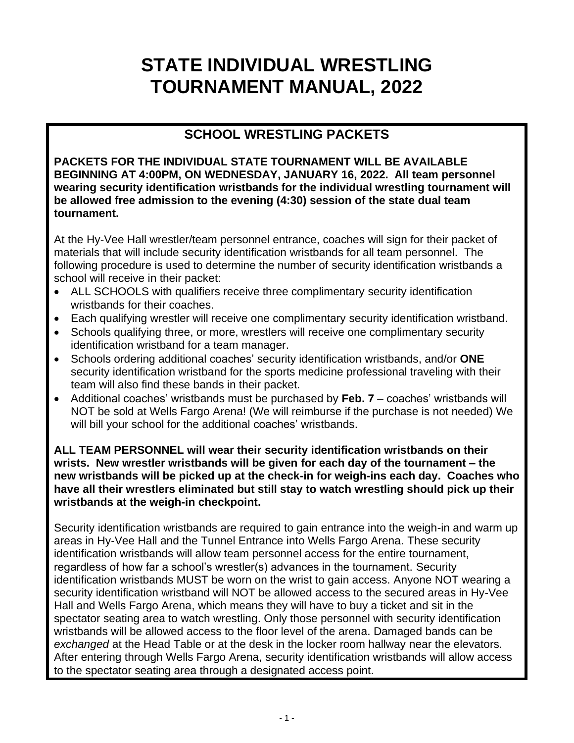# **STATE INDIVIDUAL WRESTLING TOURNAMENT MANUAL, 2022**

# **SCHOOL WRESTLING PACKETS**

**PACKETS FOR THE INDIVIDUAL STATE TOURNAMENT WILL BE AVAILABLE BEGINNING AT 4:00PM, ON WEDNESDAY, JANUARY 16, 2022. All team personnel wearing security identification wristbands for the individual wrestling tournament will be allowed free admission to the evening (4:30) session of the state dual team tournament.**

At the Hy-Vee Hall wrestler/team personnel entrance, coaches will sign for their packet of materials that will include security identification wristbands for all team personnel. The following procedure is used to determine the number of security identification wristbands a school will receive in their packet:

- ALL SCHOOLS with qualifiers receive three complimentary security identification wristbands for their coaches.
- Each qualifying wrestler will receive one complimentary security identification wristband.
- Schools qualifying three, or more, wrestlers will receive one complimentary security identification wristband for a team manager.
- Schools ordering additional coaches' security identification wristbands, and/or **ONE** security identification wristband for the sports medicine professional traveling with their team will also find these bands in their packet.
- Additional coaches' wristbands must be purchased by **Feb. 7** coaches' wristbands will NOT be sold at Wells Fargo Arena! (We will reimburse if the purchase is not needed) We will bill your school for the additional coaches' wristbands.

**ALL TEAM PERSONNEL will wear their security identification wristbands on their wrists. New wrestler wristbands will be given for each day of the tournament – the new wristbands will be picked up at the check-in for weigh-ins each day. Coaches who have all their wrestlers eliminated but still stay to watch wrestling should pick up their wristbands at the weigh-in checkpoint.**

Security identification wristbands are required to gain entrance into the weigh-in and warm up areas in Hy-Vee Hall and the Tunnel Entrance into Wells Fargo Arena. These security identification wristbands will allow team personnel access for the entire tournament, regardless of how far a school's wrestler(s) advances in the tournament. Security identification wristbands MUST be worn on the wrist to gain access. Anyone NOT wearing a security identification wristband will NOT be allowed access to the secured areas in Hy-Vee Hall and Wells Fargo Arena, which means they will have to buy a ticket and sit in the spectator seating area to watch wrestling. Only those personnel with security identification wristbands will be allowed access to the floor level of the arena. Damaged bands can be *exchanged* at the Head Table or at the desk in the locker room hallway near the elevators. After entering through Wells Fargo Arena, security identification wristbands will allow access to the spectator seating area through a designated access point.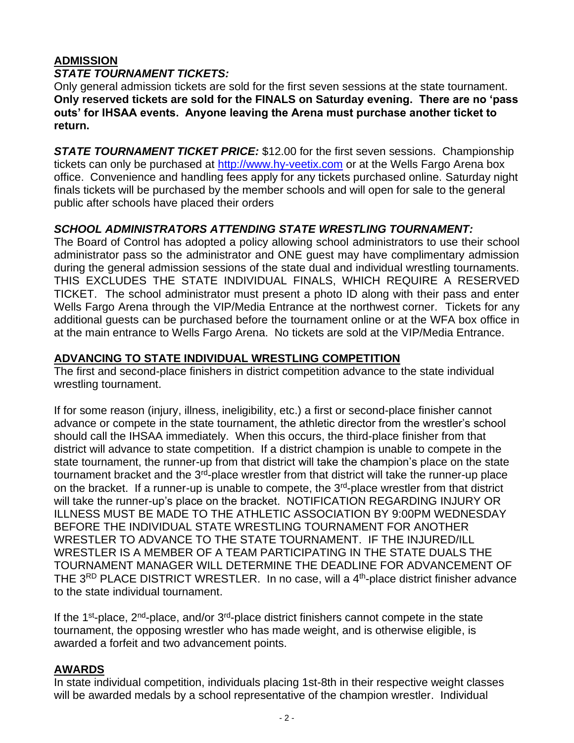#### **ADMISSION** *STATE TOURNAMENT TICKETS:*

Only general admission tickets are sold for the first seven sessions at the state tournament. **Only reserved tickets are sold for the FINALS on Saturday evening. There are no 'pass outs' for IHSAA events. Anyone leaving the Arena must purchase another ticket to return.**

*STATE TOURNAMENT TICKET PRICE:* \$12.00 for the first seven sessions. Championship tickets can only be purchased at [http://www.hy-veetix.com](http://www.hy-veetix.com/) or at the Wells Fargo Arena box office. Convenience and handling fees apply for any tickets purchased online. Saturday night finals tickets will be purchased by the member schools and will open for sale to the general public after schools have placed their orders

# *SCHOOL ADMINISTRATORS ATTENDING STATE WRESTLING TOURNAMENT:*

The Board of Control has adopted a policy allowing school administrators to use their school administrator pass so the administrator and ONE guest may have complimentary admission during the general admission sessions of the state dual and individual wrestling tournaments. THIS EXCLUDES THE STATE INDIVIDUAL FINALS, WHICH REQUIRE A RESERVED TICKET. The school administrator must present a photo ID along with their pass and enter Wells Fargo Arena through the VIP/Media Entrance at the northwest corner. Tickets for any additional guests can be purchased before the tournament online or at the WFA box office in at the main entrance to Wells Fargo Arena. No tickets are sold at the VIP/Media Entrance.

# **ADVANCING TO STATE INDIVIDUAL WRESTLING COMPETITION**

The first and second-place finishers in district competition advance to the state individual wrestling tournament.

If for some reason (injury, illness, ineligibility, etc.) a first or second-place finisher cannot advance or compete in the state tournament, the athletic director from the wrestler's school should call the IHSAA immediately. When this occurs, the third-place finisher from that district will advance to state competition. If a district champion is unable to compete in the state tournament, the runner-up from that district will take the champion's place on the state tournament bracket and the 3<sup>rd</sup>-place wrestler from that district will take the runner-up place on the bracket. If a runner-up is unable to compete, the 3<sup>rd</sup>-place wrestler from that district will take the runner-up's place on the bracket. NOTIFICATION REGARDING INJURY OR ILLNESS MUST BE MADE TO THE ATHLETIC ASSOCIATION BY 9:00PM WEDNESDAY BEFORE THE INDIVIDUAL STATE WRESTLING TOURNAMENT FOR ANOTHER WRESTLER TO ADVANCE TO THE STATE TOURNAMENT. IF THE INJURED/ILL WRESTLER IS A MEMBER OF A TEAM PARTICIPATING IN THE STATE DUALS THE TOURNAMENT MANAGER WILL DETERMINE THE DEADLINE FOR ADVANCEMENT OF THE 3<sup>RD</sup> PLACE DISTRICT WRESTLER. In no case, will a 4<sup>th</sup>-place district finisher advance to the state individual tournament.

If the 1<sup>st</sup>-place,  $2^{nd}$ -place, and/or  $3^{rd}$ -place district finishers cannot compete in the state tournament, the opposing wrestler who has made weight, and is otherwise eligible, is awarded a forfeit and two advancement points.

# **AWARDS**

In state individual competition, individuals placing 1st-8th in their respective weight classes will be awarded medals by a school representative of the champion wrestler. Individual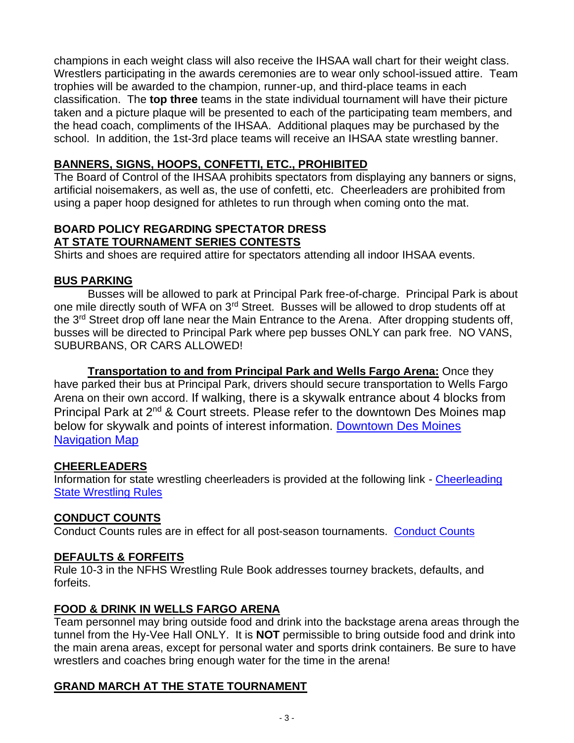champions in each weight class will also receive the IHSAA wall chart for their weight class. Wrestlers participating in the awards ceremonies are to wear only school-issued attire. Team trophies will be awarded to the champion, runner-up, and third-place teams in each classification. The **top three** teams in the state individual tournament will have their picture taken and a picture plaque will be presented to each of the participating team members, and the head coach, compliments of the IHSAA. Additional plaques may be purchased by the school. In addition, the 1st-3rd place teams will receive an IHSAA state wrestling banner.

## **BANNERS, SIGNS, HOOPS, CONFETTI, ETC., PROHIBITED**

The Board of Control of the IHSAA prohibits spectators from displaying any banners or signs, artificial noisemakers, as well as, the use of confetti, etc. Cheerleaders are prohibited from using a paper hoop designed for athletes to run through when coming onto the mat.

### **BOARD POLICY REGARDING SPECTATOR DRESS AT STATE TOURNAMENT SERIES CONTESTS**

Shirts and shoes are required attire for spectators attending all indoor IHSAA events.

## **BUS PARKING**

Busses will be allowed to park at Principal Park free-of-charge. Principal Park is about one mile directly south of WFA on 3rd Street. Busses will be allowed to drop students off at the 3<sup>rd</sup> Street drop off lane near the Main Entrance to the Arena. After dropping students off, busses will be directed to Principal Park where pep busses ONLY can park free. NO VANS, SUBURBANS, OR CARS ALLOWED!

**Transportation to and from Principal Park and Wells Fargo Arena:** Once they have parked their bus at Principal Park, drivers should secure transportation to Wells Fargo Arena on their own accord. If walking, there is a skywalk entrance about 4 blocks from Principal Park at 2nd & Court streets. Please refer to the downtown Des Moines map below for skywalk and points of interest information. [Downtown Des Moines](https://assets.simpleviewinc.com/simpleview/image/upload/v1/clients/desmoines/Downtown_Des_Moines_Navigation_Map_2019_12_05_e75eda09-baf7-4eeb-86fa-6a0fea5a0339.pdf)  [Navigation Map](https://assets.simpleviewinc.com/simpleview/image/upload/v1/clients/desmoines/Downtown_Des_Moines_Navigation_Map_2019_12_05_e75eda09-baf7-4eeb-86fa-6a0fea5a0339.pdf)

## **CHEERLEADERS**

Information for state wrestling cheerleaders is provided at the following link - Cheerleading [State Wrestling Rules](https://www.iowacheercoaches.org/)

# **CONDUCT COUNTS**

Conduct Counts rules are in effect for all post-season tournaments. [Conduct Counts](https://www.iahsaa.org/wp-content/uploads/2019/10/2019-Conduct-Counts-10.17.19.pdf)

## **DEFAULTS & FORFEITS**

Rule 10-3 in the NFHS Wrestling Rule Book addresses tourney brackets, defaults, and forfeits.

## **FOOD & DRINK IN WELLS FARGO ARENA**

Team personnel may bring outside food and drink into the backstage arena areas through the tunnel from the Hy-Vee Hall ONLY. It is **NOT** permissible to bring outside food and drink into the main arena areas, except for personal water and sports drink containers. Be sure to have wrestlers and coaches bring enough water for the time in the arena!

# **GRAND MARCH AT THE STATE TOURNAMENT**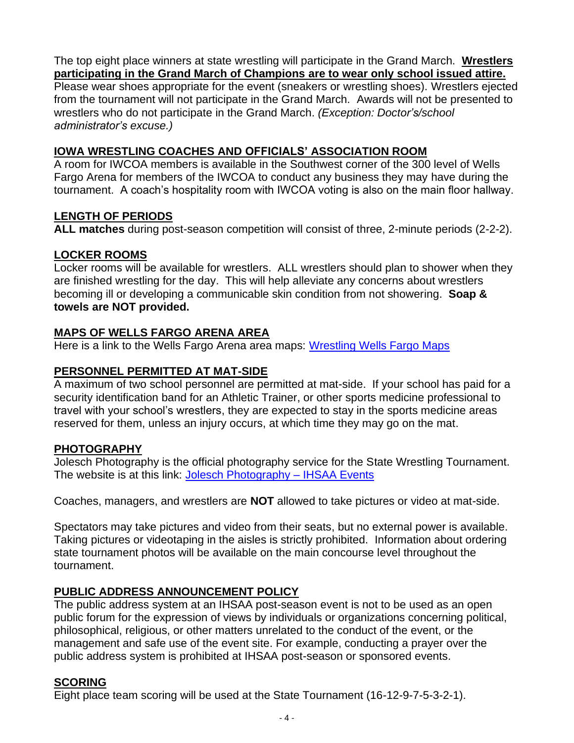The top eight place winners at state wrestling will participate in the Grand March. **Wrestlers participating in the Grand March of Champions are to wear only school issued attire.** Please wear shoes appropriate for the event (sneakers or wrestling shoes). Wrestlers ejected from the tournament will not participate in the Grand March. Awards will not be presented to wrestlers who do not participate in the Grand March. *(Exception: Doctor's/school administrator's excuse.)*

## **IOWA WRESTLING COACHES AND OFFICIALS' ASSOCIATION ROOM**

A room for IWCOA members is available in the Southwest corner of the 300 level of Wells Fargo Arena for members of the IWCOA to conduct any business they may have during the tournament. A coach's hospitality room with IWCOA voting is also on the main floor hallway.

### **LENGTH OF PERIODS**

**ALL matches** during post-season competition will consist of three, 2-minute periods (2-2-2).

## **LOCKER ROOMS**

Locker rooms will be available for wrestlers. ALL wrestlers should plan to shower when they are finished wrestling for the day. This will help alleviate any concerns about wrestlers becoming ill or developing a communicable skin condition from not showering. **Soap & towels are NOT provided.**

## **MAPS OF WELLS FARGO ARENA AREA**

Here is a link to the Wells Fargo Arena area maps: [Wrestling Wells Fargo Maps](https://www.iahsaa.org/wp-content/uploads/2021/01/WR-Wells-Fargo-Map-1.27.21.pdf)

## **PERSONNEL PERMITTED AT MAT-SIDE**

A maximum of two school personnel are permitted at mat-side. If your school has paid for a security identification band for an Athletic Trainer, or other sports medicine professional to travel with your school's wrestlers, they are expected to stay in the sports medicine areas reserved for them, unless an injury occurs, at which time they may go on the mat.

## **PHOTOGRAPHY**

Jolesch Photography is the official photography service for the State Wrestling Tournament. The website is at this link: [Jolesch Photography –](http://www.bandgroupphotography.com/IHSAA/Index.html) IHSAA Events

Coaches, managers, and wrestlers are **NOT** allowed to take pictures or video at mat-side.

Spectators may take pictures and video from their seats, but no external power is available. Taking pictures or videotaping in the aisles is strictly prohibited. Information about ordering state tournament photos will be available on the main concourse level throughout the tournament.

## **PUBLIC ADDRESS ANNOUNCEMENT POLICY**

The public address system at an IHSAA post-season event is not to be used as an open public forum for the expression of views by individuals or organizations concerning political, philosophical, religious, or other matters unrelated to the conduct of the event, or the management and safe use of the event site. For example, conducting a prayer over the public address system is prohibited at IHSAA post-season or sponsored events.

## **SCORING**

Eight place team scoring will be used at the State Tournament (16-12-9-7-5-3-2-1).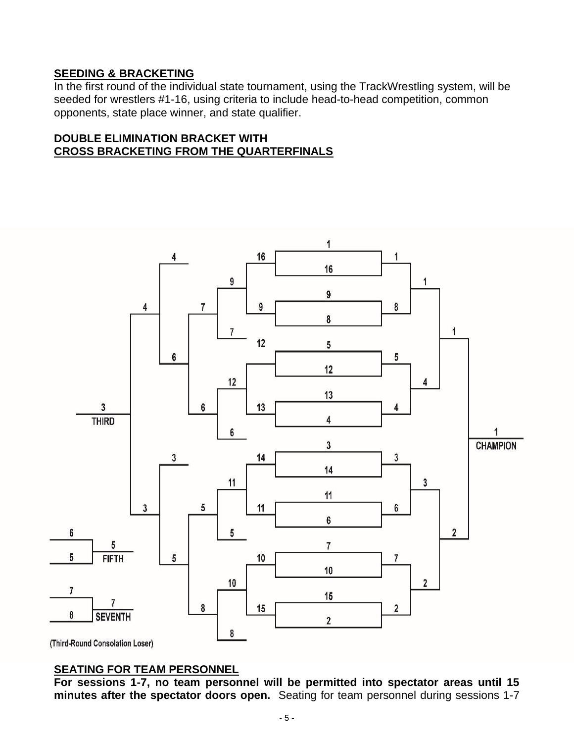# **SEEDING & BRACKETING**

In the first round of the individual state tournament, using the TrackWrestling system, will be seeded for wrestlers #1-16, using criteria to include head-to-head competition, common opponents, state place winner, and state qualifier.

#### **DOUBLE ELIMINATION BRACKET WITH CROSS BRACKETING FROM THE QUARTERFINALS**



(Third-Round Consolation Loser)

#### **SEATING FOR TEAM PERSONNEL**

**For sessions 1-7, no team personnel will be permitted into spectator areas until 15 minutes after the spectator doors open.** Seating for team personnel during sessions 1-7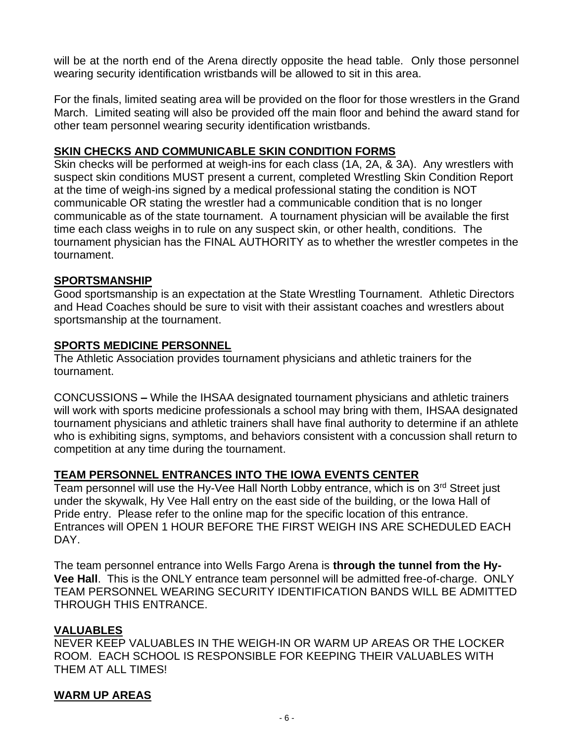will be at the north end of the Arena directly opposite the head table. Only those personnel wearing security identification wristbands will be allowed to sit in this area.

For the finals, limited seating area will be provided on the floor for those wrestlers in the Grand March. Limited seating will also be provided off the main floor and behind the award stand for other team personnel wearing security identification wristbands.

#### **SKIN CHECKS AND COMMUNICABLE SKIN CONDITION FORMS**

Skin checks will be performed at weigh-ins for each class (1A, 2A, & 3A). Any wrestlers with suspect skin conditions MUST present a current, completed Wrestling Skin Condition Report at the time of weigh-ins signed by a medical professional stating the condition is NOT communicable OR stating the wrestler had a communicable condition that is no longer communicable as of the state tournament. A tournament physician will be available the first time each class weighs in to rule on any suspect skin, or other health, conditions. The tournament physician has the FINAL AUTHORITY as to whether the wrestler competes in the tournament.

#### **SPORTSMANSHIP**

Good sportsmanship is an expectation at the State Wrestling Tournament. Athletic Directors and Head Coaches should be sure to visit with their assistant coaches and wrestlers about sportsmanship at the tournament.

#### **SPORTS MEDICINE PERSONNEL**

The Athletic Association provides tournament physicians and athletic trainers for the tournament.

CONCUSSIONS **–** While the IHSAA designated tournament physicians and athletic trainers will work with sports medicine professionals a school may bring with them, IHSAA designated tournament physicians and athletic trainers shall have final authority to determine if an athlete who is exhibiting signs, symptoms, and behaviors consistent with a concussion shall return to competition at any time during the tournament.

#### **TEAM PERSONNEL ENTRANCES INTO THE IOWA EVENTS CENTER**

Team personnel will use the Hy-Vee Hall North Lobby entrance, which is on 3<sup>rd</sup> Street just under the skywalk, Hy Vee Hall entry on the east side of the building, or the Iowa Hall of Pride entry. Please refer to the online map for the specific location of this entrance. Entrances will OPEN 1 HOUR BEFORE THE FIRST WEIGH INS ARE SCHEDULED EACH DAY.

The team personnel entrance into Wells Fargo Arena is **through the tunnel from the Hy-Vee Hall**. This is the ONLY entrance team personnel will be admitted free-of-charge. ONLY TEAM PERSONNEL WEARING SECURITY IDENTIFICATION BANDS WILL BE ADMITTED THROUGH THIS ENTRANCE.

#### **VALUABLES**

NEVER KEEP VALUABLES IN THE WEIGH-IN OR WARM UP AREAS OR THE LOCKER ROOM. EACH SCHOOL IS RESPONSIBLE FOR KEEPING THEIR VALUABLES WITH THEM AT ALL TIMES!

#### **WARM UP AREAS**